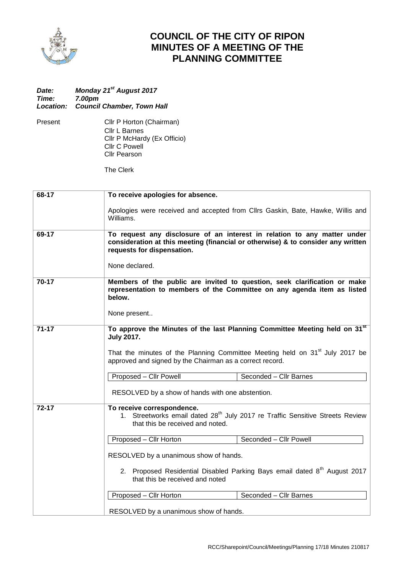

## **COUNCIL OF THE CITY OF RIPON MINUTES OF A MEETING OF THE PLANNING COMMITTEE**

## *Date: Monday 21 st August 2017 Time: 7.00pm Location: Council Chamber, Town Hall*

Present Cllr P Horton (Chairman) Cllr L Barnes Cllr P McHardy (Ex Officio) Cllr C Powell Cllr Pearson

The Clerk

| 68-17     | To receive apologies for absence.                                                                                                                                                                                                                         |  |  |
|-----------|-----------------------------------------------------------------------------------------------------------------------------------------------------------------------------------------------------------------------------------------------------------|--|--|
|           | Apologies were received and accepted from Cllrs Gaskin, Bate, Hawke, Willis and<br>Williams.                                                                                                                                                              |  |  |
| 69-17     | To request any disclosure of an interest in relation to any matter under<br>consideration at this meeting (financial or otherwise) & to consider any written<br>requests for dispensation.                                                                |  |  |
|           | None declared.                                                                                                                                                                                                                                            |  |  |
| $70-17$   | Members of the public are invited to question, seek clarification or make<br>representation to members of the Committee on any agenda item as listed<br>below.                                                                                            |  |  |
|           | None present                                                                                                                                                                                                                                              |  |  |
| $71 - 17$ | To approve the Minutes of the last Planning Committee Meeting held on 31 <sup>st</sup><br><b>July 2017.</b><br>That the minutes of the Planning Committee Meeting held on $31st$ July 2017 be<br>approved and signed by the Chairman as a correct record. |  |  |
|           | Seconded - Cllr Barnes<br>Proposed - Cllr Powell                                                                                                                                                                                                          |  |  |
|           | RESOLVED by a show of hands with one abstention.                                                                                                                                                                                                          |  |  |
| $72 - 17$ | To receive correspondence.<br>1. Streetworks email dated 28 <sup>th</sup> July 2017 re Traffic Sensitive Streets Review<br>that this be received and noted.                                                                                               |  |  |
|           | Proposed - Cllr Horton<br>Seconded - Cllr Powell                                                                                                                                                                                                          |  |  |
|           | RESOLVED by a unanimous show of hands.                                                                                                                                                                                                                    |  |  |
|           | 2. Proposed Residential Disabled Parking Bays email dated 8 <sup>th</sup> August 2017<br>that this be received and noted                                                                                                                                  |  |  |
|           | Seconded - Cllr Barnes<br>Proposed - Cllr Horton                                                                                                                                                                                                          |  |  |
|           | RESOLVED by a unanimous show of hands.                                                                                                                                                                                                                    |  |  |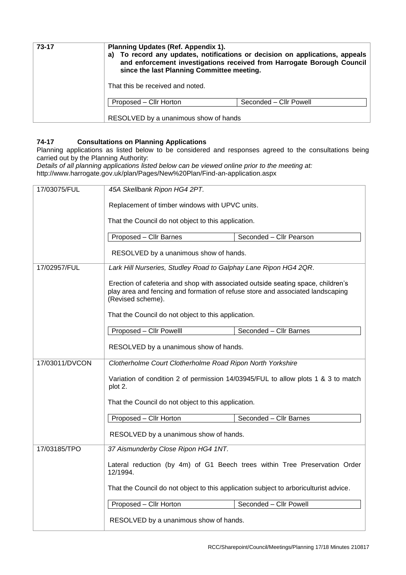| 73-17 | Planning Updates (Ref. Appendix 1).<br>To record any updates, notifications or decision on applications, appeals<br>a)<br>and enforcement investigations received from Harrogate Borough Council<br>since the last Planning Committee meeting. |                        |
|-------|------------------------------------------------------------------------------------------------------------------------------------------------------------------------------------------------------------------------------------------------|------------------------|
|       | That this be received and noted.                                                                                                                                                                                                               |                        |
|       | Proposed - Cllr Horton                                                                                                                                                                                                                         | Seconded – Cllr Powell |
|       | RESOLVED by a unanimous show of hands                                                                                                                                                                                                          |                        |

## **74-17 Consultations on Planning Applications**

Planning applications as listed below to be considered and responses agreed to the consultations being carried out by the Planning Authority:

*Details of all planning applications listed below can be viewed online prior to the meeting at:* http://www.harrogate.gov.uk/plan/Pages/New%20Plan/Find-an-application.aspx

| 17/03075/FUL                                        | 45A Skellbank Ripon HG4 2PT.                                                                                                                                                            |                         |  |
|-----------------------------------------------------|-----------------------------------------------------------------------------------------------------------------------------------------------------------------------------------------|-------------------------|--|
|                                                     | Replacement of timber windows with UPVC units.                                                                                                                                          |                         |  |
|                                                     | That the Council do not object to this application.                                                                                                                                     |                         |  |
|                                                     | Proposed - Cllr Barnes                                                                                                                                                                  | Seconded - Cllr Pearson |  |
|                                                     | RESOLVED by a unanimous show of hands.                                                                                                                                                  |                         |  |
| 17/02957/FUL                                        | Lark Hill Nurseries, Studley Road to Galphay Lane Ripon HG4 2QR.                                                                                                                        |                         |  |
|                                                     | Erection of cafeteria and shop with associated outside seating space, children's<br>play area and fencing and formation of refuse store and associated landscaping<br>(Revised scheme). |                         |  |
|                                                     | That the Council do not object to this application.                                                                                                                                     |                         |  |
|                                                     | Proposed - Cllr Powelll                                                                                                                                                                 | Seconded - Cllr Barnes  |  |
|                                                     | RESOLVED by a unanimous show of hands.                                                                                                                                                  |                         |  |
| 17/03011/DVCON                                      | Clotherholme Court Clotherholme Road Ripon North Yorkshire                                                                                                                              |                         |  |
|                                                     | Variation of condition 2 of permission 14/03945/FUL to allow plots 1 & 3 to match<br>plot 2.                                                                                            |                         |  |
|                                                     | That the Council do not object to this application.                                                                                                                                     |                         |  |
|                                                     | Proposed - Cllr Horton                                                                                                                                                                  | Seconded - Cllr Barnes  |  |
|                                                     | RESOLVED by a unanimous show of hands.                                                                                                                                                  |                         |  |
| 17/03185/TPO<br>37 Aismunderby Close Ripon HG4 1NT. |                                                                                                                                                                                         |                         |  |
|                                                     | Lateral reduction (by 4m) of G1 Beech trees within Tree Preservation Order<br>12/1994.                                                                                                  |                         |  |
|                                                     | That the Council do not object to this application subject to arboriculturist advice.                                                                                                   |                         |  |
|                                                     | Proposed - Cllr Horton                                                                                                                                                                  | Seconded - Cllr Powell  |  |
|                                                     | RESOLVED by a unanimous show of hands.                                                                                                                                                  |                         |  |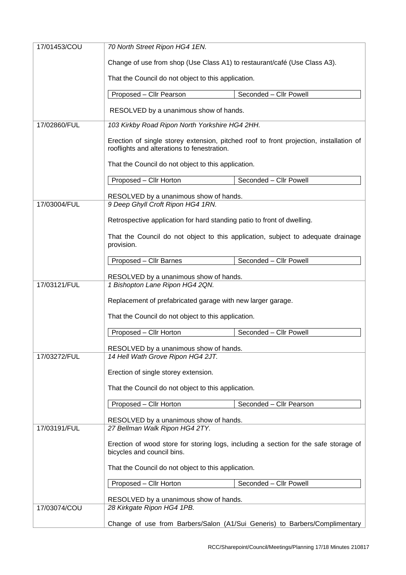| 17/01453/COU                                    |                                                                                                                                       |                                                                            |  |
|-------------------------------------------------|---------------------------------------------------------------------------------------------------------------------------------------|----------------------------------------------------------------------------|--|
|                                                 | Change of use from shop (Use Class A1) to restaurant/café (Use Class A3).                                                             |                                                                            |  |
|                                                 | That the Council do not object to this application.                                                                                   |                                                                            |  |
|                                                 | Proposed - Cllr Pearson                                                                                                               | Seconded - Cllr Powell                                                     |  |
|                                                 | RESOLVED by a unanimous show of hands.                                                                                                |                                                                            |  |
| 17/02860/FUL                                    | 103 Kirkby Road Ripon North Yorkshire HG4 2HH.                                                                                        |                                                                            |  |
|                                                 | Erection of single storey extension, pitched roof to front projection, installation of<br>rooflights and alterations to fenestration. |                                                                            |  |
|                                                 | That the Council do not object to this application.                                                                                   |                                                                            |  |
|                                                 | Proposed - Cllr Horton                                                                                                                | Seconded - Cllr Powell                                                     |  |
|                                                 | RESOLVED by a unanimous show of hands.                                                                                                |                                                                            |  |
| 17/03004/FUL                                    | 9 Deep Ghyll Croft Ripon HG4 1RN.                                                                                                     |                                                                            |  |
|                                                 | Retrospective application for hard standing patio to front of dwelling.                                                               |                                                                            |  |
|                                                 | That the Council do not object to this application, subject to adequate drainage<br>provision.                                        |                                                                            |  |
|                                                 | Proposed - Cllr Barnes                                                                                                                | Seconded - Cllr Powell                                                     |  |
|                                                 | RESOLVED by a unanimous show of hands.                                                                                                |                                                                            |  |
| 17/03121/FUL<br>1 Bishopton Lane Ripon HG4 2QN. |                                                                                                                                       |                                                                            |  |
|                                                 | Replacement of prefabricated garage with new larger garage.                                                                           |                                                                            |  |
|                                                 | That the Council do not object to this application.                                                                                   |                                                                            |  |
|                                                 | Proposed - Cllr Horton                                                                                                                | Seconded - Cllr Powell                                                     |  |
|                                                 | RESOLVED by a unanimous show of hands.                                                                                                |                                                                            |  |
| 17/03272/FUL                                    | 14 Hell Wath Grove Ripon HG4 2JT.                                                                                                     |                                                                            |  |
|                                                 | Erection of single storey extension.                                                                                                  |                                                                            |  |
|                                                 | That the Council do not object to this application.                                                                                   |                                                                            |  |
|                                                 | Proposed - Cllr Horton                                                                                                                | Seconded - Cllr Pearson                                                    |  |
|                                                 | RESOLVED by a unanimous show of hands.                                                                                                |                                                                            |  |
| 17/03191/FUL                                    | 27 Bellman Walk Ripon HG4 2TY.                                                                                                        |                                                                            |  |
|                                                 | Erection of wood store for storing logs, including a section for the safe storage of<br>bicycles and council bins.                    |                                                                            |  |
|                                                 | That the Council do not object to this application.                                                                                   |                                                                            |  |
|                                                 | Proposed - Cllr Horton                                                                                                                | Seconded - Cllr Powell                                                     |  |
|                                                 | RESOLVED by a unanimous show of hands.                                                                                                |                                                                            |  |
| 17/03074/COU                                    | 28 Kirkgate Ripon HG4 1PB.                                                                                                            |                                                                            |  |
|                                                 |                                                                                                                                       | Change of use from Barbers/Salon (A1/Sui Generis) to Barbers/Complimentary |  |